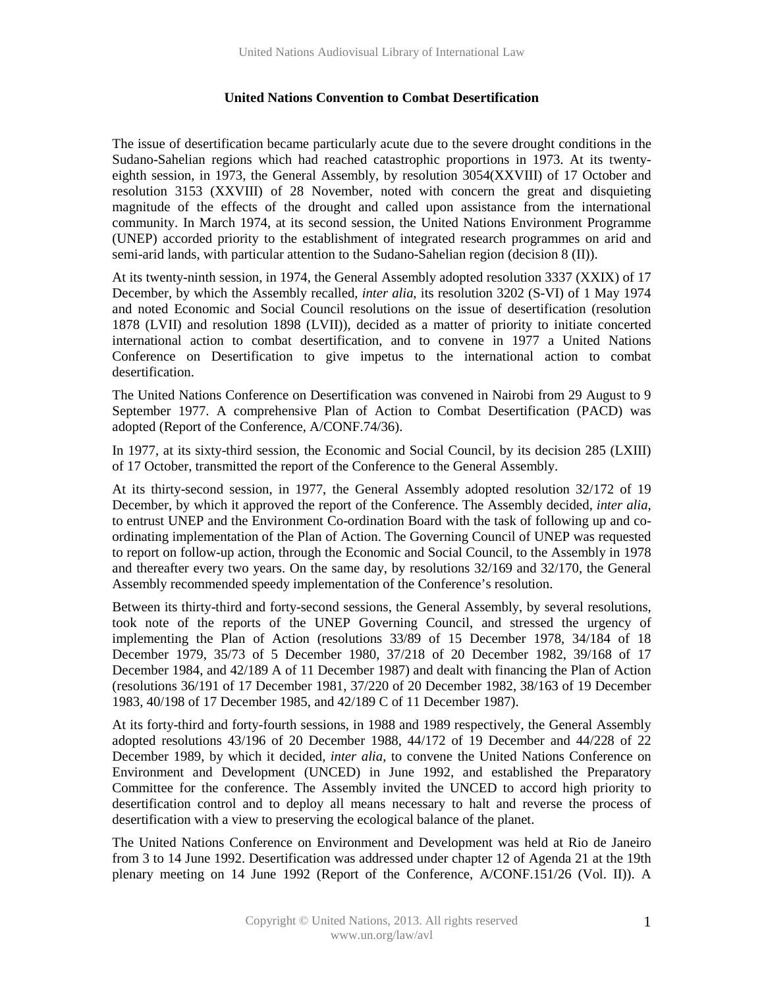## **United Nations Convention to Combat Desertification**

The issue of desertification became particularly acute due to the severe drought conditions in the Sudano-Sahelian regions which had reached catastrophic proportions in 1973. At its twentyeighth session, in 1973, the General Assembly, by resolution 3054(XXVIII) of 17 October and resolution 3153 (XXVIII) of 28 November, noted with concern the great and disquieting magnitude of the effects of the drought and called upon assistance from the international community. In March 1974, at its second session, the United Nations Environment Programme (UNEP) accorded priority to the establishment of integrated research programmes on arid and semi-arid lands, with particular attention to the Sudano-Sahelian region (decision 8 (II)).

At its twenty-ninth session, in 1974, the General Assembly adopted resolution 3337 (XXIX) of 17 December, by which the Assembly recalled*, inter alia*, its resolution 3202 (S-VI) of 1 May 1974 and noted Economic and Social Council resolutions on the issue of desertification (resolution 1878 (LVII) and resolution 1898 (LVII)), decided as a matter of priority to initiate concerted international action to combat desertification, and to convene in 1977 a United Nations Conference on Desertification to give impetus to the international action to combat desertification.

The United Nations Conference on Desertification was convened in Nairobi from 29 August to 9 September 1977. A comprehensive Plan of Action to Combat Desertification (PACD) was adopted (Report of the Conference, A/CONF.74/36).

In 1977, at its sixty-third session, the Economic and Social Council, by its decision 285 (LXIII) of 17 October, transmitted the report of the Conference to the General Assembly.

At its thirty-second session, in 1977, the General Assembly adopted resolution 32/172 of 19 December, by which it approved the report of the Conference. The Assembly decided, *inter alia*, to entrust UNEP and the Environment Co-ordination Board with the task of following up and coordinating implementation of the Plan of Action. The Governing Council of UNEP was requested to report on follow-up action, through the Economic and Social Council, to the Assembly in 1978 and thereafter every two years. On the same day, by resolutions 32/169 and 32/170, the General Assembly recommended speedy implementation of the Conference's resolution.

Between its thirty-third and forty-second sessions, the General Assembly, by several resolutions, took note of the reports of the UNEP Governing Council, and stressed the urgency of implementing the Plan of Action (resolutions 33/89 of 15 December 1978, 34/184 of 18 December 1979, 35/73 of 5 December 1980, 37/218 of 20 December 1982, 39/168 of 17 December 1984, and 42/189 A of 11 December 1987) and dealt with financing the Plan of Action (resolutions 36/191 of 17 December 1981, 37/220 of 20 December 1982, 38/163 of 19 December 1983, 40/198 of 17 December 1985, and 42/189 C of 11 December 1987).

At its forty-third and forty-fourth sessions, in 1988 and 1989 respectively, the General Assembly adopted resolutions 43/196 of 20 December 1988, 44/172 of 19 December and 44/228 of 22 December 1989, by which it decided, *inter alia*, to convene the United Nations Conference on Environment and Development (UNCED) in June 1992, and established the Preparatory Committee for the conference. The Assembly invited the UNCED to accord high priority to desertification control and to deploy all means necessary to halt and reverse the process of desertification with a view to preserving the ecological balance of the planet.

The United Nations Conference on Environment and Development was held at Rio de Janeiro from 3 to 14 June 1992. Desertification was addressed under chapter 12 of Agenda 21 at the 19th plenary meeting on 14 June 1992 (Report of the Conference, A/CONF.151/26 (Vol. II)). A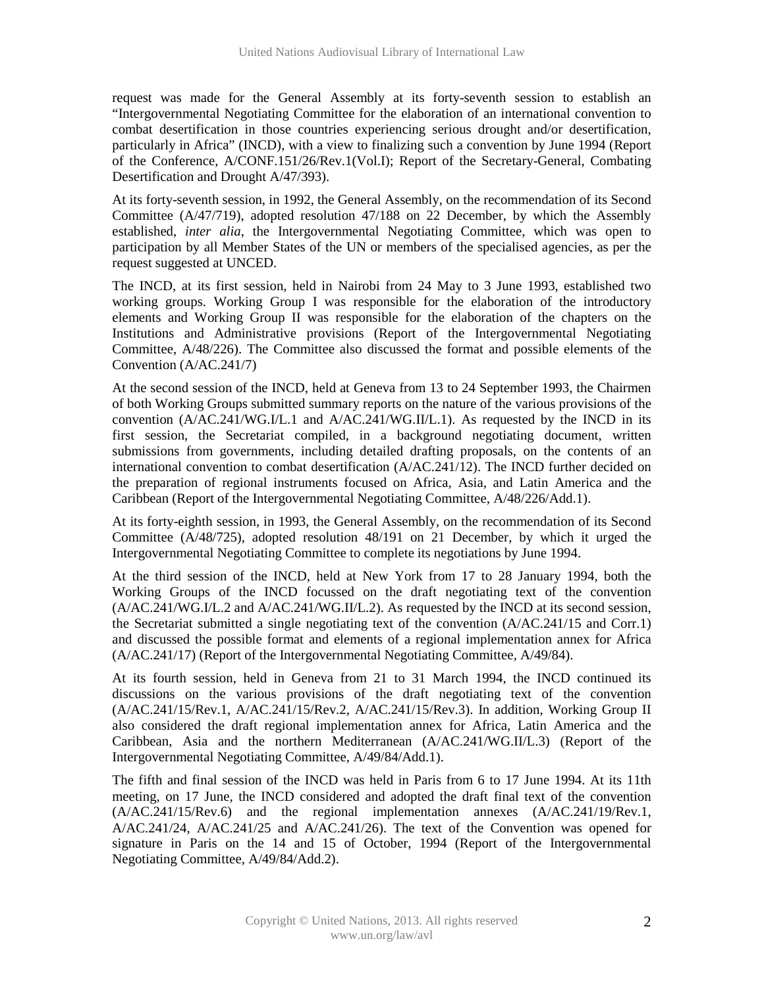request was made for the General Assembly at its forty-seventh session to establish an "Intergovernmental Negotiating Committee for the elaboration of an international convention to combat desertification in those countries experiencing serious drought and/or desertification, particularly in Africa" (INCD), with a view to finalizing such a convention by June 1994 (Report of the Conference, A/CONF.151/26/Rev.1(Vol.I); Report of the Secretary-General, Combating Desertification and Drought A/47/393).

At its forty-seventh session, in 1992, the General Assembly, on the recommendation of its Second Committee (A/47/719), adopted resolution 47/188 on 22 December, by which the Assembly established, *inter alia*, the Intergovernmental Negotiating Committee, which was open to participation by all Member States of the UN or members of the specialised agencies, as per the request suggested at UNCED.

The INCD, at its first session, held in Nairobi from 24 May to 3 June 1993, established two working groups. Working Group I was responsible for the elaboration of the introductory elements and Working Group II was responsible for the elaboration of the chapters on the Institutions and Administrative provisions (Report of the Intergovernmental Negotiating Committee, A/48/226). The Committee also discussed the format and possible elements of the Convention (A/AC.241/7)

At the second session of the INCD, held at Geneva from 13 to 24 September 1993, the Chairmen of both Working Groups submitted summary reports on the nature of the various provisions of the convention (A/AC.241/WG.I/L.1 and A/AC.241/WG.II/L.1). As requested by the INCD in its first session, the Secretariat compiled, in a background negotiating document, written submissions from governments, including detailed drafting proposals, on the contents of an international convention to combat desertification (A/AC.241/12). The INCD further decided on the preparation of regional instruments focused on Africa, Asia, and Latin America and the Caribbean (Report of the Intergovernmental Negotiating Committee, A/48/226/Add.1).

At its forty-eighth session, in 1993, the General Assembly, on the recommendation of its Second Committee (A/48/725), adopted resolution 48/191 on 21 December, by which it urged the Intergovernmental Negotiating Committee to complete its negotiations by June 1994.

At the third session of the INCD, held at New York from 17 to 28 January 1994, both the Working Groups of the INCD focussed on the draft negotiating text of the convention (A/AC.241/WG.I/L.2 and A/AC.241/WG.II/L.2). As requested by the INCD at its second session, the Secretariat submitted a single negotiating text of the convention (A/AC.241/15 and Corr.1) and discussed the possible format and elements of a regional implementation annex for Africa (A/AC.241/17) (Report of the Intergovernmental Negotiating Committee, A/49/84).

At its fourth session, held in Geneva from 21 to 31 March 1994, the INCD continued its discussions on the various provisions of the draft negotiating text of the convention (A/AC.241/15/Rev.1, A/AC.241/15/Rev.2, A/AC.241/15/Rev.3). In addition, Working Group II also considered the draft regional implementation annex for Africa, Latin America and the Caribbean, Asia and the northern Mediterranean (A/AC.241/WG.II/L.3) (Report of the Intergovernmental Negotiating Committee, A/49/84/Add.1).

The fifth and final session of the INCD was held in Paris from 6 to 17 June 1994. At its 11th meeting, on 17 June, the INCD considered and adopted the draft final text of the convention (A/AC.241/15/Rev.6) and the regional implementation annexes (A/AC.241/19/Rev.1, A/AC.241/24, A/AC.241/25 and A/AC.241/26). The text of the Convention was opened for signature in Paris on the 14 and 15 of October, 1994 (Report of the Intergovernmental Negotiating Committee, A/49/84/Add.2).